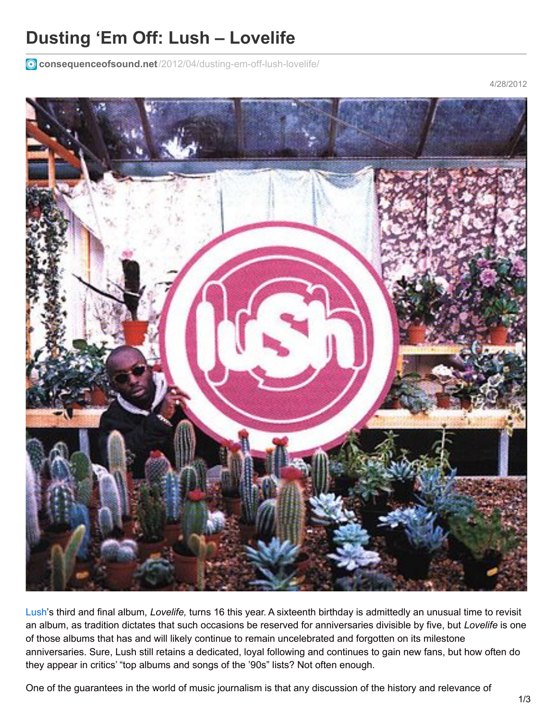## **Dusting 'Em Off: Lush – Lovelife**

**consequenceofsound.net**[/2012/04/dusting-em-off-lush-lovelife/](https://consequenceofsound.net/2012/04/dusting-em-off-lush-lovelife/)

4/28/2012



[Lush](http://www.4ad.com/artists/lush)'s third and final album, *Lovelife,* turns 16 this year. A sixteenth birthday is admittedly an unusual time to revisit an album, as tradition dictates that such occasions be reserved for anniversaries divisible by five, but *Lovelife* is one of those albums that has and will likely continue to remain uncelebrated and forgotten on its milestone anniversaries. Sure, Lush still retains a dedicated, loyal following and continues to gain new fans, but how often do they appear in critics' "top albums and songs of the '90s" lists? Not often enough.

One of the guarantees in the world of music journalism is that any discussion of the history and relevance of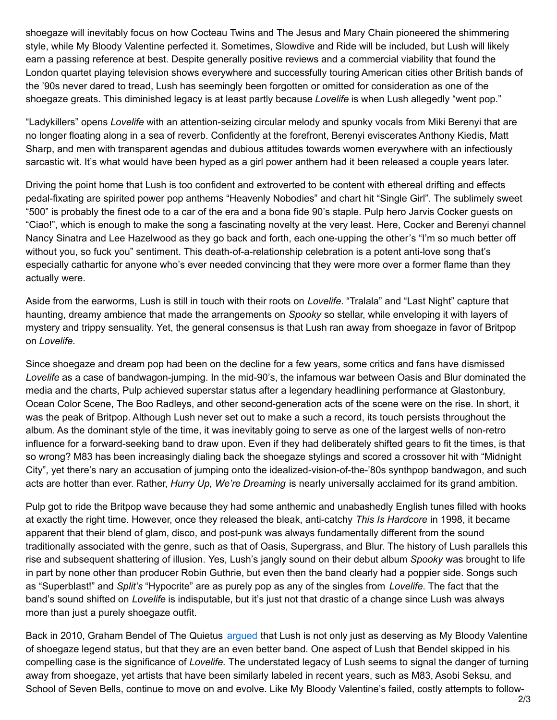shoegaze will inevitably focus on how Cocteau Twins and The Jesus and Mary Chain pioneered the shimmering style, while My Bloody Valentine perfected it. Sometimes, Slowdive and Ride will be included, but Lush will likely earn a passing reference at best. Despite generally positive reviews and a commercial viability that found the London quartet playing television shows everywhere and successfully touring American cities other British bands of the '90s never dared to tread, Lush has seemingly been forgotten or omitted for consideration as one of the shoegaze greats. This diminished legacy is at least partly because *Lovelife* is when Lush allegedly "went pop."

"Ladykillers" opens *Lovelife* with an attention-seizing circular melody and spunky vocals from Miki Berenyi that are no longer floating along in a sea of reverb. Confidently at the forefront, Berenyi eviscerates Anthony Kiedis, Matt Sharp, and men with transparent agendas and dubious attitudes towards women everywhere with an infectiously sarcastic wit. It's what would have been hyped as a girl power anthem had it been released a couple years later.

Driving the point home that Lush is too confident and extroverted to be content with ethereal drifting and effects pedal-fixating are spirited power pop anthems "Heavenly Nobodies" and chart hit "Single Girl". The sublimely sweet "500" is probably the finest ode to a car of the era and a bona fide 90's staple. Pulp hero Jarvis Cocker guests on "Ciao!", which is enough to make the song a fascinating novelty at the very least. Here, Cocker and Berenyi channel Nancy Sinatra and Lee Hazelwood as they go back and forth, each one-upping the other's "I'm so much better off without you, so fuck you" sentiment. This death-of-a-relationship celebration is a potent anti-love song that's especially cathartic for anyone who's ever needed convincing that they were more over a former flame than they actually were.

Aside from the earworms, Lush is still in touch with their roots on *Lovelife*. "Tralala" and "Last Night" capture that haunting, dreamy ambience that made the arrangements on *Spooky* so stellar, while enveloping it with layers of mystery and trippy sensuality. Yet, the general consensus is that Lush ran away from shoegaze in favor of Britpop on *Lovelife*.

Since shoegaze and dream pop had been on the decline for a few years, some critics and fans have dismissed *Lovelife* as a case of bandwagon-jumping. In the mid-90's, the infamous war between Oasis and Blur dominated the media and the charts, Pulp achieved superstar status after a legendary headlining performance at Glastonbury, Ocean Color Scene, The Boo Radleys, and other second-generation acts of the scene were on the rise. In short, it was the peak of Britpop. Although Lush never set out to make a such a record, its touch persists throughout the album. As the dominant style of the time, it was inevitably going to serve as one of the largest wells of non-retro influence for a forward-seeking band to draw upon. Even if they had deliberately shifted gears to fit the times, is that so wrong? M83 has been increasingly dialing back the shoegaze stylings and scored a crossover hit with "Midnight City", yet there's nary an accusation of jumping onto the idealized-vision-of-the-'80s synthpop bandwagon, and such acts are hotter than ever. Rather, *Hurry Up, We're Dreaming* is nearly universally acclaimed for its grand ambition.

Pulp got to ride the Britpop wave because they had some anthemic and unabashedly English tunes filled with hooks at exactly the right time. However, once they released the bleak, anti-catchy *This Is Hardcore* in 1998, it became apparent that their blend of glam, disco, and post-punk was always fundamentally different from the sound traditionally associated with the genre, such as that of Oasis, Supergrass, and Blur. The history of Lush parallels this rise and subsequent shattering of illusion. Yes, Lush's jangly sound on their debut album *Spooky* was brought to life in part by none other than producer Robin Guthrie, but even then the band clearly had a poppier side. Songs such as "Superblast!" and *Split's* "Hypocrite" are as purely pop as any of the singles from *Lovelife*. The fact that the band's sound shifted on *Lovelife* is indisputable, but it's just not that drastic of a change since Lush was always more than just a purely shoegaze outfit.

Back in 2010, Graham Bendel of The Quietus [argued](http://thequietus.com/articles/04017-lush-interview-mad-love-20th-anniversary) that Lush is not only just as deserving as My Bloody Valentine of shoegaze legend status, but that they are an even better band. One aspect of Lush that Bendel skipped in his compelling case is the significance of *Lovelife.* The understated legacy of Lush seems to signal the danger of turning away from shoegaze, yet artists that have been similarly labeled in recent years, such as M83, Asobi Seksu, and School of Seven Bells, continue to move on and evolve. Like My Bloody Valentine's failed, costly attempts to follow